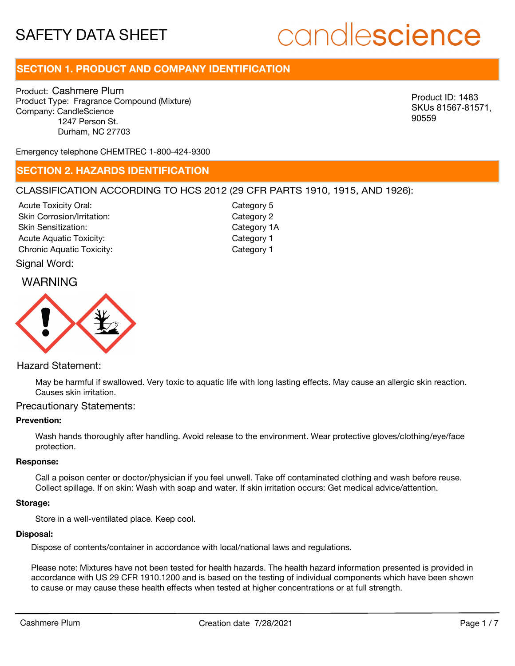# candlescience

# **SECTION 1. PRODUCT AND COMPANY IDENTIFICATION**

Product: Cashmere Plum Product Type: Fragrance Compound (Mixture) Company: CandleScience 1247 Person St. Durham, NC 27703

Product ID: 1483 SKUs 81567-81571, 90559

Emergency telephone CHEMTREC 1-800-424-9300

# **SECTION 2. HAZARDS IDENTIFICATION**

# CLASSIFICATION ACCORDING TO HCS 2012 (29 CFR PARTS 1910, 1915, AND 1926):

Acute Toxicity Oral: Skin Corrosion/Irritation: Skin Sensitization: Acute Aquatic Toxicity: Category 1 Chronic Aquatic Toxicity: Chronic Aquatic Toxicity:

Category 5 Category 2 Category 1A

# WARNING

Signal Word:



# Hazard Statement:

May be harmful if swallowed. Very toxic to aquatic life with long lasting effects. May cause an allergic skin reaction. Causes skin irritation.

## Precautionary Statements:

### **Prevention:**

Wash hands thoroughly after handling. Avoid release to the environment. Wear protective gloves/clothing/eye/face protection.

#### **Response:**

Call a poison center or doctor/physician if you feel unwell. Take off contaminated clothing and wash before reuse. Collect spillage. If on skin: Wash with soap and water. If skin irritation occurs: Get medical advice/attention.

#### **Storage:**

Store in a well-ventilated place. Keep cool.

#### **Disposal:**

Dispose of contents/container in accordance with local/national laws and regulations.

Please note: Mixtures have not been tested for health hazards. The health hazard information presented is provided in accordance with US 29 CFR 1910.1200 and is based on the testing of individual components which have been shown to cause or may cause these health effects when tested at higher concentrations or at full strength.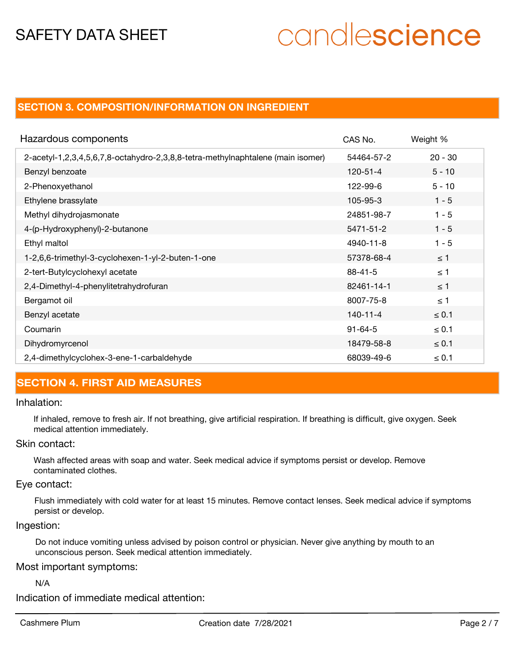# candlescience

# **SECTION 3. COMPOSITION/INFORMATION ON INGREDIENT**

| Hazardous components                                                            | CAS No.        | Weight %   |
|---------------------------------------------------------------------------------|----------------|------------|
| 2-acetyl-1,2,3,4,5,6,7,8-octahydro-2,3,8,8-tetra-methylnaphtalene (main isomer) | 54464-57-2     | $20 - 30$  |
| Benzyl benzoate                                                                 | $120 - 51 - 4$ | $5 - 10$   |
| 2-Phenoxyethanol                                                                | 122-99-6       | $5 - 10$   |
| Ethylene brassylate                                                             | 105-95-3       | $1 - 5$    |
| Methyl dihydrojasmonate                                                         | 24851-98-7     | $1 - 5$    |
| 4-(p-Hydroxyphenyl)-2-butanone                                                  | 5471-51-2      | $1 - 5$    |
| Ethyl maltol                                                                    | 4940-11-8      | $1 - 5$    |
| 1-2,6,6-trimethyl-3-cyclohexen-1-yl-2-buten-1-one                               | 57378-68-4     | $\leq$ 1   |
| 2-tert-Butylcyclohexyl acetate                                                  | $88 - 41 - 5$  | $\leq 1$   |
| 2,4-Dimethyl-4-phenylitetrahydrofuran                                           | 82461-14-1     | $\leq 1$   |
| Bergamot oil                                                                    | 8007-75-8      | $\leq 1$   |
| Benzyl acetate                                                                  | $140 - 11 - 4$ | $\leq 0.1$ |
| Coumarin                                                                        | $91 - 64 - 5$  | $\leq 0.1$ |
| Dihydromyrcenol                                                                 | 18479-58-8     | $\leq 0.1$ |
| 2,4-dimethylcyclohex-3-ene-1-carbaldehyde                                       | 68039-49-6     | $\leq 0.1$ |

# **SECTION 4. FIRST AID MEASURES**

### Inhalation:

If inhaled, remove to fresh air. If not breathing, give artificial respiration. If breathing is difficult, give oxygen. Seek medical attention immediately.

# Skin contact:

Wash affected areas with soap and water. Seek medical advice if symptoms persist or develop. Remove contaminated clothes.

# Eye contact:

Flush immediately with cold water for at least 15 minutes. Remove contact lenses. Seek medical advice if symptoms persist or develop.

# Ingestion:

Do not induce vomiting unless advised by poison control or physician. Never give anything by mouth to an unconscious person. Seek medical attention immediately.

# Most important symptoms:

N/A

Indication of immediate medical attention: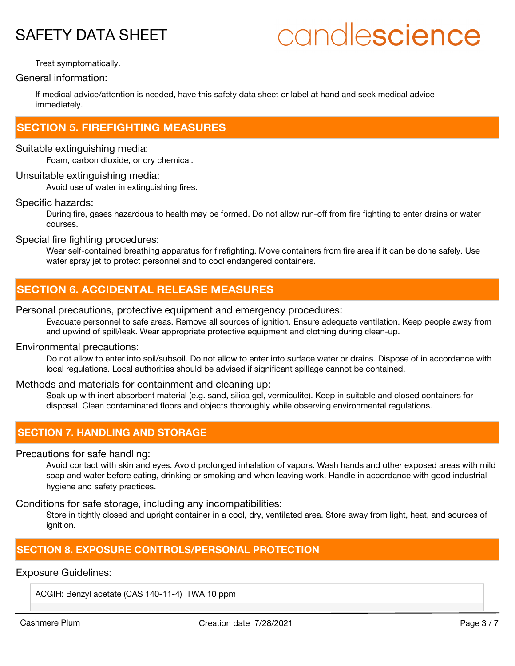# candlescience

Treat symptomatically.

General information:

If medical advice/attention is needed, have this safety data sheet or label at hand and seek medical advice immediately.

# **SECTION 5. FIREFIGHTING MEASURES**

### Suitable extinguishing media:

Foam, carbon dioxide, or dry chemical.

# Unsuitable extinguishing media:

Avoid use of water in extinguishing fires.

# Specific hazards:

During fire, gases hazardous to health may be formed. Do not allow run-off from fire fighting to enter drains or water courses.

Special fire fighting procedures:

Wear self-contained breathing apparatus for firefighting. Move containers from fire area if it can be done safely. Use water spray jet to protect personnel and to cool endangered containers.

# **SECTION 6. ACCIDENTAL RELEASE MEASURES**

### Personal precautions, protective equipment and emergency procedures:

Evacuate personnel to safe areas. Remove all sources of ignition. Ensure adequate ventilation. Keep people away from and upwind of spill/leak. Wear appropriate protective equipment and clothing during clean-up.

# Environmental precautions:

Do not allow to enter into soil/subsoil. Do not allow to enter into surface water or drains. Dispose of in accordance with local regulations. Local authorities should be advised if significant spillage cannot be contained.

# Methods and materials for containment and cleaning up:

Soak up with inert absorbent material (e.g. sand, silica gel, vermiculite). Keep in suitable and closed containers for disposal. Clean contaminated floors and objects thoroughly while observing environmental regulations.

# **SECTION 7. HANDLING AND STORAGE**

### Precautions for safe handling:

Avoid contact with skin and eyes. Avoid prolonged inhalation of vapors. Wash hands and other exposed areas with mild soap and water before eating, drinking or smoking and when leaving work. Handle in accordance with good industrial hygiene and safety practices.

Conditions for safe storage, including any incompatibilities:

Store in tightly closed and upright container in a cool, dry, ventilated area. Store away from light, heat, and sources of ignition.

# **SECTION 8. EXPOSURE CONTROLS/PERSONAL PROTECTION**

# Exposure Guidelines:

ACGIH: Benzyl acetate (CAS 140-11-4) TWA 10 ppm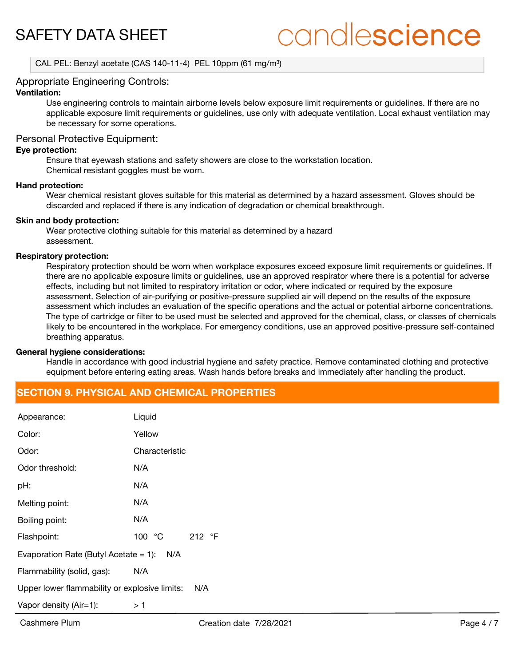# candlescience

CAL PEL: Benzyl acetate (CAS 140-11-4) PEL 10ppm (61 mg/m<sup>3</sup>)

# Appropriate Engineering Controls:

# **Ventilation:**

Use engineering controls to maintain airborne levels below exposure limit requirements or guidelines. If there are no applicable exposure limit requirements or guidelines, use only with adequate ventilation. Local exhaust ventilation may be necessary for some operations.

# Personal Protective Equipment:

### **Eye protection:**

Ensure that eyewash stations and safety showers are close to the workstation location. Chemical resistant goggles must be worn.

#### **Hand protection:**

Wear chemical resistant gloves suitable for this material as determined by a hazard assessment. Gloves should be discarded and replaced if there is any indication of degradation or chemical breakthrough.

#### **Skin and body protection:**

Wear protective clothing suitable for this material as determined by a hazard assessment.

#### **Respiratory protection:**

Respiratory protection should be worn when workplace exposures exceed exposure limit requirements or guidelines. If there are no applicable exposure limits or guidelines, use an approved respirator where there is a potential for adverse effects, including but not limited to respiratory irritation or odor, where indicated or required by the exposure assessment. Selection of air-purifying or positive-pressure supplied air will depend on the results of the exposure assessment which includes an evaluation of the specific operations and the actual or potential airborne concentrations. The type of cartridge or filter to be used must be selected and approved for the chemical, class, or classes of chemicals likely to be encountered in the workplace. For emergency conditions, use an approved positive-pressure self-contained breathing apparatus.

### **General hygiene considerations:**

Handle in accordance with good industrial hygiene and safety practice. Remove contaminated clothing and protective equipment before entering eating areas. Wash hands before breaks and immediately after handling the product.

# **SECTION 9. PHYSICAL AND CHEMICAL PROPERTIES**

| Appearance:                                     | Liquid                             |  |  |
|-------------------------------------------------|------------------------------------|--|--|
| Color:                                          | Yellow                             |  |  |
| Odor:                                           | Characteristic                     |  |  |
| Odor threshold:                                 | N/A                                |  |  |
| pH:                                             | N/A                                |  |  |
| Melting point:                                  | N/A                                |  |  |
| Boiling point:                                  | N/A                                |  |  |
| Flashpoint:                                     | 100 $\degree$ C<br>212 $\degree$ F |  |  |
| Evaporation Rate (Butyl Acetate $= 1$ ):<br>N/A |                                    |  |  |
| Flammability (solid, gas):                      | N/A                                |  |  |
| Upper lower flammability or explosive limits:   | N/A                                |  |  |
| Vapor density (Air=1):                          | > 1                                |  |  |
|                                                 |                                    |  |  |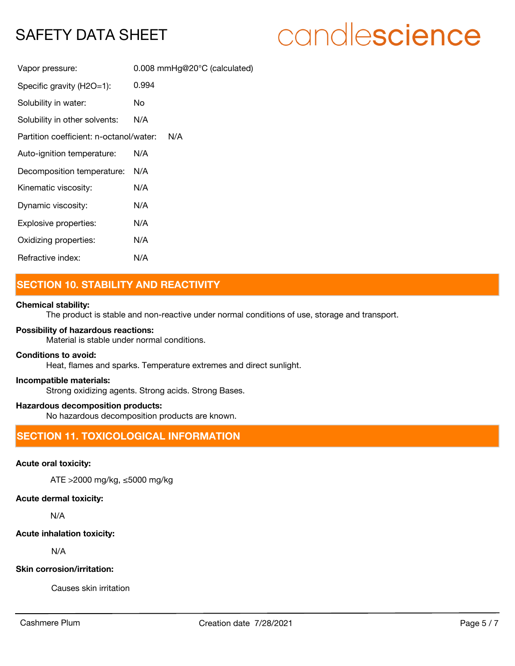# candlescience

| Vapor pressure:                         | 0.008 mmHg@20°C (calculated) |
|-----------------------------------------|------------------------------|
| Specific gravity (H2O=1):               | 0.994                        |
| Solubility in water:                    | No.                          |
| Solubility in other solvents:           | N/A                          |
| Partition coefficient: n-octanol/water: | N/A                          |
| Auto-ignition temperature:              | N/A                          |
| Decomposition temperature:              | N/A                          |
| Kinematic viscosity:                    | N/A                          |
| Dynamic viscosity:                      | N/A                          |
| Explosive properties:                   | N/A                          |
| Oxidizing properties:                   | N/A                          |
| Refractive index:                       | N/A                          |

# **SECTION 10. STABILITY AND REACTIVITY**

# **Chemical stability:**

The product is stable and non-reactive under normal conditions of use, storage and transport.

# **Possibility of hazardous reactions:**

Material is stable under normal conditions.

## **Conditions to avoid:**

Heat, flames and sparks. Temperature extremes and direct sunlight.

# **Incompatible materials:**

Strong oxidizing agents. Strong acids. Strong Bases.

## **Hazardous decomposition products:**

No hazardous decomposition products are known.

# **SECTION 11. TOXICOLOGICAL INFORMATION**

# **Acute oral toxicity:**

ATE >2000 mg/kg, ≤5000 mg/kg

# **Acute dermal toxicity:**

N/A

# **Acute inhalation toxicity:**

N/A

### **Skin corrosion/irritation:**

Causes skin irritation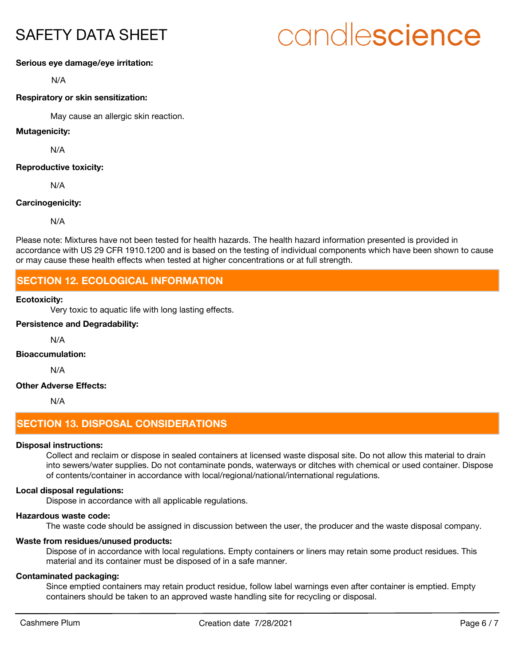# candlescience

### **Serious eye damage/eye irritation:**

N/A

### **Respiratory or skin sensitization:**

May cause an allergic skin reaction.

# **Mutagenicity:**

N/A

### **Reproductive toxicity:**

N/A

# **Carcinogenicity:**

N/A

Please note: Mixtures have not been tested for health hazards. The health hazard information presented is provided in accordance with US 29 CFR 1910.1200 and is based on the testing of individual components which have been shown to cause or may cause these health effects when tested at higher concentrations or at full strength.

# **SECTION 12. ECOLOGICAL INFORMATION**

### **Ecotoxicity:**

Very toxic to aquatic life with long lasting effects.

# **Persistence and Degradability:**

N/A

# **Bioaccumulation:**

N/A

# **Other Adverse Effects:**

N/A

# **SECTION 13. DISPOSAL CONSIDERATIONS**

### **Disposal instructions:**

Collect and reclaim or dispose in sealed containers at licensed waste disposal site. Do not allow this material to drain into sewers/water supplies. Do not contaminate ponds, waterways or ditches with chemical or used container. Dispose of contents/container in accordance with local/regional/national/international regulations.

### **Local disposal regulations:**

Dispose in accordance with all applicable regulations.

### **Hazardous waste code:**

The waste code should be assigned in discussion between the user, the producer and the waste disposal company.

## **Waste from residues/unused products:**

Dispose of in accordance with local regulations. Empty containers or liners may retain some product residues. This material and its container must be disposed of in a safe manner.

### **Contaminated packaging:**

Since emptied containers may retain product residue, follow label warnings even after container is emptied. Empty containers should be taken to an approved waste handling site for recycling or disposal.